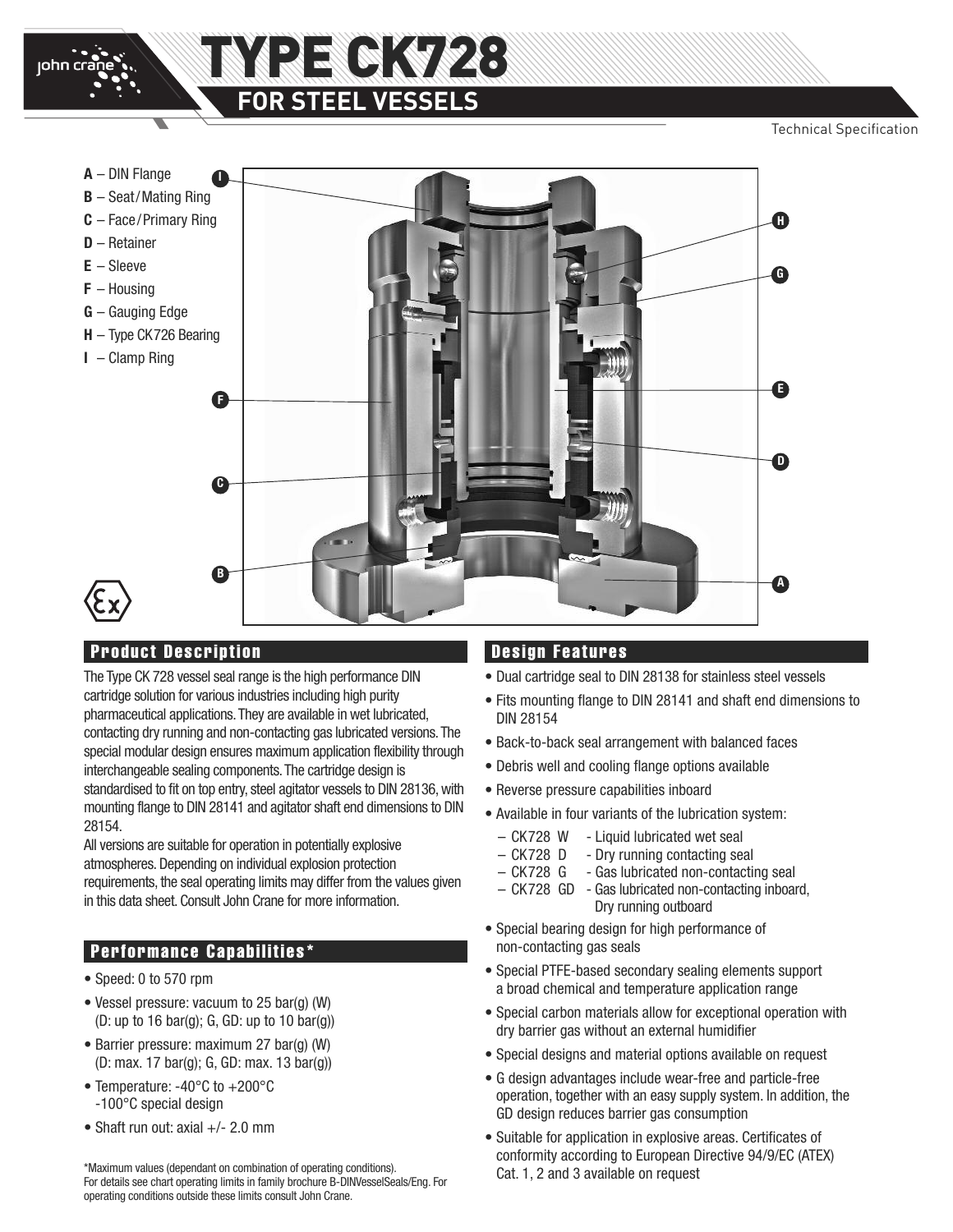

Technical Specification



## **Product Description**

The Type CK 728 vessel seal range is the high performance DIN cartridge solution for various industries including high purity pharmaceutical applications.They are available in wet lubricated, contacting dry running and non-contacting gas lubricated versions.The special modular design ensures maximum application flexibility through interchangeable sealing components.The cartridge design is standardised to fit on top entry, steel agitator vessels to DIN 28136, with mounting flange to DIN 28141 and agitator shaft end dimensions to DIN 28154.

All versions are suitable for operation in potentially explosive atmospheres. Depending on individual explosion protection requirements, the seal operating limits may differ from the values given in this data sheet. Consult John Crane for more information.

## **Performance Capabilities\***

- Speed: 0 to 570 rpm
- Vessel pressure: vacuum to 25 bar(g) (W) (D: up to 16 bar(g); G, GD: up to 10 bar(g))
- Barrier pressure: maximum 27 bar(g) (W) (D: max. 17 bar(g); G, GD: max. 13 bar(g))
- Temperature: -40°C to +200°C -100°C special design
- Shaft run out: axial +/- 2.0 mm

\*Maximum values (dependant on combination of operating conditions). For details see chart operating limits in family brochure B-DINVesselSeals/Eng. For operating conditions outside these limits consult John Crane.

## **Design Features**

- Dual cartridge seal to DIN 28138 for stainless steel vessels
- Fits mounting flange to DIN 28141 and shaft end dimensions to DIN 28154
- Back-to-back seal arrangement with balanced faces
- Debris well and cooling flange options available
- Reverse pressure capabilities inboard
- Available in four variants of the lubrication system:
	- CK728 W Liquid lubricated wet seal
	- CK728 D Dry running contacting seal
	- CK728 G Gas lubricated non-contacting seal
	- CK728 GD Gas lubricated non-contacting inboard, Dry running outboard
- Special bearing design for high performance of non-contacting gas seals
- Special PTFE-based secondary sealing elements support a broad chemical and temperature application range
- Special carbon materials allow for exceptional operation with dry barrier gas without an external humidifier
- Special designs and material options available on request
- G design advantages include wear-free and particle-free operation, together with an easy supply system. In addition, the GD design reduces barrier gas consumption
- Suitable for application in explosive areas. Certificates of conformity according to European Directive 94/9/EC (ATEX) Cat. 1, 2 and 3 available on request